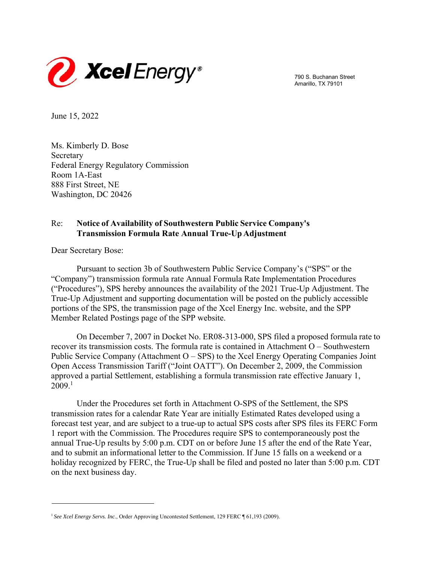

790 S. Buchanan Street Amarillo, TX 79101

June 15, 2022

Ms. Kimberly D. Bose Secretary Federal Energy Regulatory Commission Room 1A-East 888 First Street, NE Washington, DC 20426

## Re: **Notice of Availability of Southwestern Public Service Company's Transmission Formula Rate Annual True-Up Adjustment**

Dear Secretary Bose:

Pursuant to section 3b of Southwestern Public Service Company's ("SPS" or the "Company") transmission formula rate Annual Formula Rate Implementation Procedures ("Procedures"), SPS hereby announces the availability of the 2021 True-Up Adjustment. The True-Up Adjustment and supporting documentation will be posted on the publicly accessible portions of the SPS, the transmission page of the Xcel Energy Inc. website, and the SPP Member Related Postings page of the SPP website.

On December 7, 2007 in Docket No. ER08-313-000, SPS filed a proposed formula rate to recover its transmission costs. The formula rate is contained in Attachment O – Southwestern Public Service Company (Attachment O – SPS) to the Xcel Energy Operating Companies Joint Open Access Transmission Tariff ("Joint OATT"). On December 2, 2009, the Commission approved a partial Settlement, establishing a formula transmission rate effective January 1,  $2009.<sup>1</sup>$ 

Under the Procedures set forth in Attachment O-SPS of the Settlement, the SPS transmission rates for a calendar Rate Year are initially Estimated Rates developed using a forecast test year, and are subject to a true-up to actual SPS costs after SPS files its FERC Form 1 report with the Commission. The Procedures require SPS to contemporaneously post the annual True-Up results by 5:00 p.m. CDT on or before June 15 after the end of the Rate Year, and to submit an informational letter to the Commission. If June 15 falls on a weekend or a holiday recognized by FERC, the True-Up shall be filed and posted no later than 5:00 p.m. CDT on the next business day.

<sup>&</sup>lt;sup>1</sup> See Xcel Energy Servs. Inc., Order Approving Uncontested Settlement, 129 FERC ¶ 61,193 (2009).